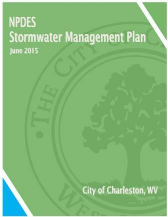# **NPDES Stormwater Management Plan June 2015**

**City of Charleston, WV**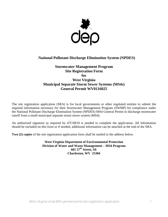

# **National Pollutant Discharge Elimination System (NPDES)**

# **Stormwater Management Program Site Registration Form for West Virginia Municipal Separate Storm Sewer Systems (MS4s) General Permit WV0116025**

The site registration application (SRA) is for local governments or other regulated entities to submit the required information necessary for their Stormwater Management Program (SWMP) for compliance under the National Pollutant Discharge Elimination System (NPDES) MS4 General Permit to discharge stormwater runoff from a small municipal separate storm sewer system (MS4).

An authorized signature as required by 47CSR10 is needed to complete the application. All information should be included on this form or if needed, additional information can be attached at the end of the SRA.

**Two (2) copies** of the site registration application form shall be mailed to the address below.

**West Virginia Department of Environmental Protection Division of Water and Waste Management – MS4 Program 601 57th Street, SE Charleston, WV 25304**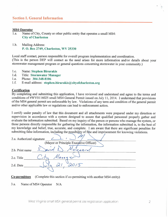# **Section I. General Information**

#### **MS4 Operator**

- $1.a.$ Name of City, County or other public entity that operates a small MS4: **City of Charleston**
- $1.b.$ Mailing Address: P. O. Box 2749, Charleston, WV 25330

Local staff contact, person responsible for overall program implementation and coordination. (This is the person DEP will contact as the need arises for more information and/or details about your stormwater management program or general questions concerning stormwater in your community.)

- 1.c. **Name: Stephen Birurakis**
- $1.d.$ **Title: Stormwater Manager**
- Phone: 304-348-8106 1.e.
- $1.f.$ E-mail address: stephen.birurakis@cityofcharleston.org

#### **Certification**

By completing and submitting this application, I have reviewed and understand and agree to the terms and conditions of #WV0116025 small MS4 General Permit issued on July 11, 2014. I understand that provisions of the MS4 general permit are enforceable by law. Violations of any term and condition of the general permit and/or other applicable law or regulations can lead to enforcement action.

I certify under penalty of law that this document and all attachments were prepared under my direction or supervision in accordance with a system designed to assure that qualified personnel properly gather and evaluate the information submitted. Based on my inquiry of the person or persons who manage the system, or those persons directly responsible for gathering the information, the information submitted is, to the best of my knowledge and belief, true, accurate, and complete. I am aware that there are significant penalties for submitting false information, including the possibility of fine and imprisonment for knowing violations.

| 2.a. Authorized signature |                                        |  |  |  |  |  |  |
|---------------------------|----------------------------------------|--|--|--|--|--|--|
|                           | (Mayor or Principle Executive Officer) |  |  |  |  |  |  |
| 2.b. Print name           | $10\sqrt{2}$ agra<br>x10               |  |  |  |  |  |  |
| 2.c. Title                | Mana1.                                 |  |  |  |  |  |  |
| 2.d. Date                 |                                        |  |  |  |  |  |  |
|                           |                                        |  |  |  |  |  |  |

(Complete this section if co-permitting with another MS4 entity) Co-permittees

 $3.a.$ Name of MS4 Operator  $N/A$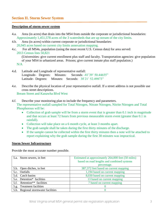#### **Description of storm sewer system**

- 4.a. Area (in acres) that drain into the MS4 from outside the corporate or jurisdictional boundaries: Approximately 1,451,578 acres of the 3 watersheds that are up stream of the city limits.
- 4.b. Area (in acres) within current corporate or jurisdictional boundaries: 20,945 acres based on current city limits annexation mapping.
- 4.c. For all MS4s, population (using the most recent U.S. Census data) for area served: 2013 Census lists 50,821

(Universities: give current enrollment plus staff and faculty. Transportation agencies: give population of your MS4 in urbanized areas. Prisons; give current inmate plus staff population.) N/A

- 4.d. Latitude and Longitude of representative outfall: Longitude- Degrees: Minutes: Seconds: -81̊ 39' 50.44655" Latitude- Degrees: Minutes: Seconds: 38̊ 21' 52.49873"
- 4.e. Describe the physical location of your representative outfall. If a street address is not possible use cross street descriptions.

Bream Street and Kanawha Blvd West

- 4.f. Describe your monitoring plan to include the frequency and parameters. The representative outfall sampled for Total Nitrogen, Nitrate Nitrogen, Nitrite Nitrogen and Total Phosphorous will be:
	- Collection of grab sample will be from a storm event that is greater than 0.1 inch in magnitude and that occurs at least 72 hours from previous measurable storm event (greater than 0.1 in rainfall).
	- Collection will take place on a 6 month cycle, at least 3 months apart.
	- The grab sample shall be taken during the first thirty minutes of the discharge.
	- If the sample cannot be collected within the first thirty minutes then a note will be attached to report explaining why the grab sample during the first 30 minutes was impractical.

### **Storm Sewer Infrastructure**

Provide the most accurate number possible.

| 5.a. Storm sewers, in feet                 | Estimated at approximately 264,000 feet (50 miles) |
|--------------------------------------------|----------------------------------------------------|
|                                            | based on road lengths and combined systems         |
|                                            | percentage.                                        |
| 5.b. Open ditches, in feet                 | 387,372 feet based on current mapping              |
| 5.c. Outfalls                              | 1,194 based on current mapping                     |
| 5.d. Catch basins                          | 8,030 based on current mapping                     |
| 5.e. Detention* facilities                 | 13 based on current mapping                        |
| Retention <sup>**</sup> facilities<br>5.f. | 7 based on current mapping                         |
| 5.g. Treatment facilities                  |                                                    |
| 5.h. Regional stormwater facilities        |                                                    |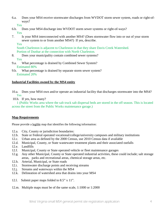6.a. Does your MS4 receive stormwater discharges from WVDOT storm sewer system, roads or right-ofways?

Yes

- 6.b. Does your MS4 discharge into WVDOT storm sewer systems or right-of-ways? Yes
- 7. Is your MS4 interconnected with another MS4? (Does stormwater flow into or out of your storm sewer system to or from another MS4?) If yes, describe.

Yes

South Charleston is adjacent to Charleston in that they share Davis Creek Watershed. Portion of Dunbar at the connection with North Charleston.

- 8. Does your municipality contain combined sewer systems? Yes
- 9.a. What percentage is drained by Combined Sewer System? Estimated 80%
- 9.b. What percentage is drained by separate storm sewer system? Estimated 20%

# **Industrial Facilities owned by the MS4 entity**

- 10.a. Does your MS4 own and/or operate an industrial facility that discharges stormwater into the MS4? Yes
- 10.b. If yes, how many?

1 (Public Works area where the salt truck salt dispersal beds are stored in the off season. This is located across the street from the Public Works maintenance garage.)

# **Map Requirements**

Please provide a legible map that identifies the following information:

- 12.a. City, County or jurisdiction boundaries:
- 12.b. State or Federal operated vocational/college/university campuses and military institutions
- 12.c. Urban area as defined by the 2000 Census, use 2010 Census data if available
- 12.d. Municipal, County, or State wastewater treatment plants and their associated outfalls
- 12.e. Landfills
- 12.f. Municipal, County or State operated vehicle or fleet maintenance garages
- 12.g. Any other Municipal, County or State operated industrial activities, these could include; salt storage areas, parks and recreational areas, chemical storage areas, etc.
- 12.h. Arterial, Municipal, or State roads
- 12.i. Stormwater discharge points and receiving streams
- 12.j. Streams and waterways within the MS4
- 12.k. Delineation of watershed area that drains into your MS4
- 12.l. Submit paper maps folded to 8.5" x 11".
- 12.m. Multiple maps must be of the same scale, 1:1000 or 1:2000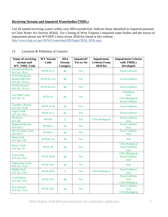# **Receiving Streams and Impaired Waterbodies/TMDLs**

List all named receiving waters within your MS4 jurisdiction. Indicate those identified as impaired pursuant to Clean Water Act Section 303(d). For a listing of West Virginia's impaired water bodies and the source of impairment please use WVDEP's most recent 303d list found at this website: [http://www.dep.wv.gov/WWE/watershed/IR/Pages/303d\\_305b.aspx](http://www.dep.wv.gov/WWE/watershed/IR/Pages/303d_305b.aspx)

| Name of receiving                                            | <b>WV Stream</b>  | 2014<br><b>Impaired?</b><br><b>Impairment</b> |                  | <b>Impairment Criteria</b> |                                                                    |
|--------------------------------------------------------------|-------------------|-----------------------------------------------|------------------|----------------------------|--------------------------------------------------------------------|
| stream and                                                   | Code              | <b>Stream</b>                                 | <b>Yes or No</b> | <b>Criteria From</b>       | with TMDLs                                                         |
| WV_NHD_Code                                                  |                   | Category                                      |                  | 303d list                  | <b>Developed</b>                                                   |
| <b>Woodward Branch</b><br>WV-KL-76-A                         | $WVK-41-A$        | 4a                                            | <b>Yes</b>       |                            | <b>Fecal Coliform</b>                                              |
| UNT/Woodward<br><b>Branch RM 0.86</b><br><b>WV-KL-76-A-2</b> | <b>WVK-41-A-2</b> | 4a                                            | Yes              |                            | Fecal/Coliform                                                     |
| <b>Pfieffer Branch</b><br><b>WV-KL-76-A-1</b>                | <b>WVK-41-A-1</b> | 4a                                            | Yes              |                            | <b>Fecal Coliform</b>                                              |
| <b>Two Mile Creek</b><br>WV-KL-76                            | <b>WVK-41</b>     | 4a                                            | Yes              |                            | Aluminum<br>Iron<br><b>CNA-Biological</b><br><b>Fecal Coliform</b> |
| <b>Chandler Branch</b><br><b>WV-KL-76-B</b>                  | $WVK-41-B$        | 4a                                            | Yes              |                            | <b>Fecal Coliform</b>                                              |
| <b>Sugar Creek</b><br>WV-KL-76-C                             | $WVK-41-C$        | 4a                                            | <b>Yes</b>       |                            | <b>Fecal Coliform</b>                                              |
| <b>Elk River</b><br><b>WV-KE</b>                             | <b>WVKE</b>       | 5                                             | Yes              | <b>CNA-Biological</b>      | <b>Fecal Coliform</b><br>Iron                                      |
| <b>Magazine Branch</b><br>WV-KE-1                            | WVKE-1            | 4a                                            | Yes              |                            | <b>Fecal Coliform</b><br>Iron                                      |
| <b>Elk Twomile Creek</b><br>WV-KE-3                          | WVKE-2            | 4a                                            | Yes              |                            | <b>Fecal Coliform</b><br>Iron                                      |
| <b>Baker Fork</b><br>$WV - KE - 3 - B$                       | WVKE-2-A          | 4a                                            | Yes              |                            | <b>Iron</b>                                                        |
| <b>Davis Creek</b><br>WV-KL-74                               | <b>WVK-39</b>     | 4a                                            | Yes              |                            | <b>CNA-Biological</b><br><b>Fecal Coliform</b><br>Iron             |
| <b>Trace Fork</b><br>WV-KL-74-C                              | <b>WVK-39-B</b>   | 4a                                            | Yes              |                            | <b>CNA-Biological</b><br><b>Fecal Coliform</b><br>Iron             |
| <b>Sugarcamp Creek</b><br>WV-KL-74-D                         | <b>WVK-39-C</b>   | 4a                                            | Yes              |                            | <b>Iron</b>                                                        |
| <b>Middle Fork</b><br>WV-KL-74-F                             | <b>WVK-39-E</b>   | 5                                             | Yes              | <b>CNA-Biological</b>      | <b>Fecal Coliform</b><br>Iron                                      |
| <b>Coal Hollow</b><br>WV-KL-74-L                             | <b>WVK-39-J</b>   | 4a                                            | <b>Yes</b>       |                            | <b>Fecal Coliform</b><br><b>Iron</b><br><b>CNA-Biological</b>      |
| <b>Rays Branch</b><br>WV-KL-74-G                             | <b>WVK-39-F</b>   | 4a                                            | Yes              |                            | <b>Fecal Coliform</b><br><b>Iron</b><br><b>CNA-Biological</b>      |

### 13. Locations & Pollutants of Concern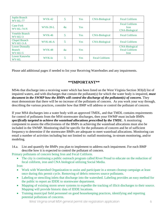| Joplin Branch<br><b>WV-KL-77</b>                  | <b>WVK-42</b>   | 5  | <b>Yes</b> | <b>CNA-Biological</b> | <b>Fecal Coliform</b>                                         |
|---------------------------------------------------|-----------------|----|------------|-----------------------|---------------------------------------------------------------|
| <b>Cane Fork</b><br>$WV-KL-74-N$                  | <b>WVK-39-L</b> | 4a | Yes        |                       | <b>Fecal Coliform</b><br>Iron<br><b>CNA-Biological</b>        |
| <b>Veneble Branch</b><br>WV-KU-3                  | <b>WVK-46</b>   | 5  | <b>Yes</b> | <b>CNA-Biological</b> | <b>Fecal Coliform</b>                                         |
| <b>Chapel Branch</b><br>$WV-KU-3-A$               | <b>WVK-46-A</b> | 5  | <b>Yes</b> | <b>CNA-Biological</b> | <b>Fecal Coliform</b>                                         |
| <b>Lower Donnally</b><br><b>Branch</b><br>WV-KU-5 | <b>WVK-48</b>   | 4a | <b>Yes</b> |                       | <b>CNA-Biological</b><br><b>Fecal Coliform</b><br><b>Iron</b> |
| Lower Kanawha<br><b>WV-KL</b>                     | WVK-lo          | 5  | <b>Yes</b> | <b>Fecal Coliform</b> |                                                               |

Please add additional pages if needed to list your Receiving Waterbodies and any impairments.

# **\*\*IMPORTANT\*\***

MS4s that discharge into a receiving water which has been listed on the West Virginia Section 303(d) list of impaired waters, and with discharges that contain the pollutant(s) for which the water body is impaired, *must document in the SWMP how the BMPs will control the discharge of the pollutant(s) of concern.* They must demonstrate that there will be no increase of the pollutants of concern. As you work your way through, describing the various practices, consider how that BMP will address or control the pollutant of concern.

If your MS4 discharges into a water body with an approved TMDL, and that TMDL contains requirements for control of pollutants from the MS4 stormwater discharges, then your SWMP must include BMPs *specifically targeted to achieve the wasteload allocations prescribed by the TMDL*. A monitoring component to assess the effectiveness of the BMPs in achieving the wasteload allocations must also be included in the SWMP. Monitoring shall be specific for the pollutants of concern and be of sufficient frequency to determine if the stormwater BMPs are adequate to meet wasteload allocations. Monitoring can entail a number of activities including but not limited to: outfall monitoring, in-stream monitoring, and/or modeling.

14.a. List and quantify the BMPs you plan to implement to address each impairment. For each BMP describe how it is expected to control the pollutant of concern.

Primary pollutants of concern being Iron and Fecal Coliform.

• The city is continuing a public outreach program called River Proud to educate on the reduction of fecal coliform, iron and CNA biological utilizing Social Media.

Iron:

- Work with Watershed Organization to assist and participate in a stream cleanup campaign at least once during this permit cycle. Removing of debris removes source pollutants.
- Labeling or stenciling inlets that discharge into the watershed. Labeling provides an easy method for the public to report an IDDE to stormwater department.
- Mapping of existing storm sewer systems to expedite the tracking of illicit discharges to their source. Mapping will provide historic data of IDDE locations.
- Training municipal field personnel on good housekeeping practices, identifying and reporting potential pollutions of concerns.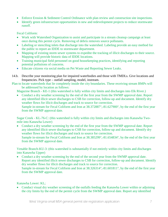- Enforce Erosion & Sediment Control Ordinance with plan review and construction site inspections.
- Identify green infrastructure opportunities in new and redevelopment projects to reduce stormwater runoff.

Fecal Coliform:

- Work with Watershed Organization to assist and participate in a stream cleanup campaign at least once during this permit cycle. Removing of debris removes source pollutants.
- Labeling or stenciling inlets that discharge into the watershed. Labeling provide an easy method for the public to report an IDDE to stormwater department.
- Mapping of existing storm sewer systems to expedite the tracking of illicit discharges to their source. Mapping will provide historic data of IDDE locations.
- Training municipal field personnel on good housekeeping practices, identifying and reporting potential pollutions of concerns.
- Educate citizens via social media on Pet Waste and Reporting Sewer Leaks.
- 14.b. Describe your monitoring plan for impaired waterbodies and those with TMDLs. Give locations and frequencies. Pick type – outfall sampling, model, instream.
- Plan to locate watersheds that lie completely inside the city boundaries. These receiving stream BMPs will be addressed by location as follows:

Magazine Branch - KE-1 (this watershed is fully within city limits and discharges into Elk River.)

• Conduct a dry weather screening by the end of the first year from the SWMP approval date. Report any identified illicit sewer discharges to CSB for correction, follow-up and document. Identify dry weather flows for illicit discharges and track to source for correction.

Sample in-stream for Fecal Coliform and Iron at 38.372887°,-81.627900°, by the end of the first year from the SWMP approval date.

Sugar Creek - KL-76-C: (this watershed is fully within city limits and discharges into Kanawha Twomile into Kanawha Lower)

• Conduct a dry weather screening by the end of the first year from the SWMP approval date. Report any identified illicit sewer discharges to CSB for correction, follow-up and document. Identify dry weather flows for illicit discharges and track to source for correction. Sample in-stream for Fecal Coliform and Iron at 38.385299°,-81.654834°, by the end of the first year from the SWMP approval date.

Venable Branch-KU-3: (this watershed is substantially if not entirely within city limits and discharges into Kanawha Upper)

• Conduct a dry weather screening by the end of the second year from the SWMP approval date. Report any identified illicit sewer discharges to CSB for correction, follow-up and document. Identify dry weather flows for illicit discharges and track to source for correction. Sample in-stream for Fecal Coliform and Iron at 38.326314°,-81.601811°, by the end of the first year from the SWMP approval date.

Kanawha Lower: KL;

• Conduct visual dry weather screening of the outfalls feeding the Kanawha Lower within or adjoining the city limits by the end of the permit cycle from the SWMP approval date. Report any identified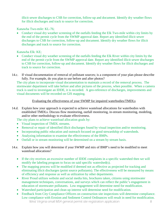illicit sewer discharges to CSB for correction, follow-up and document. Identify dry weather flows for illicit discharges and track to source for correction.

Kanawha Two-mile: KL-76;

• Conduct visual dry weather screening of the outfalls feeding the Elk Two-mile within city limits by the end of the permit cycle from the SWMP approval date. Report any identified illicit sewer discharges to CSB for correction, follow-up and document. Identify dry weather flows for illicit discharges and track to source for correction.

Kanawha Elk: KE;

- Conduct visual dry weather screening of the outfalls feeding the Elk River within city limits by the end of the permit cycle from the SWMP approval date. Report any identified illicit sewer discharges to CSB for correction, follow-up and document. Identify dry weather flows for illicit discharges and track to source for correction.
- 14.c. If visual documentation of removal of pollutant sources; is a component of your plan please describe fully. For example, do you plan to use before and after photos?

The city plans to incorporate visual documentation to maintain a record of the removal process. The stormwater department will take before and after pictures of the process, when possible. When a camera truck is used to investigate an IDDE, it is recorded. A geo-reference of discharges, improvements and visual documents will be recorded on GIS mapping.

### Evaluating the effectiveness of your SWMP for impaired waterbodies/TMDLs

14.d. Explain how your approach is expected to achieve wasteload allocations for waterbodies with established TMDLs. Discuss flow monitoring, outfall monitoring, in-stream monitoring, modeling, and/or other methodology to evaluate effectiveness.

The city plans to achieve wasteload allocation goals by:

- Visual inspection of TMDL streams.
- Removal or repair of identified illicit discharges found by visual inspection and/or monitoring.
- Incorporating public education and outreach focused on good stewardship of watersheds.
- Analyzing information to examine the effectiveness of the BMPs.
- Outfall or in stream monitoring will be determined on a stream by stream basis.

### 14.e. Explain how you will determine if your SWMP and mix of BMP's need to be modified to meet wasteload allocations?

- If the city receives an excessive number of IDDE complaints in a specific watershed then we will modify the labeling program to focus on said specific watershed(s).
- The mapping process will be modified if deemed not as effective as projected for tracking and eliminating illicit discharges (point source pollutants). The effectiveness will be measured by means of efficiency and response as well as utilization by other departments.
- River Proud utilizes website and social media hits, brochures taken, citizens using stormwater management techniques, conversations, and surveys which can reflect the public's engagement in education of stormwater pollutants. Low engagement will determine need for modification.
- Watershed participation and clean up interest will determine need for modification.
- West Virginia small MS4 general permit site registration application 8 • Feedback from City Compliance Officers on construction site inspections will determine compliance. Low compliance with Erosion and Sediment Control Ordinances will result in need for modification.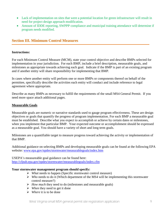- Lack of implementation on sites that were a potential location for green infrastructure will result in need for project design approach modification.
- Amount of IDDE reporting, SWPPP compliance and municipal training attendance will determine if program needs modified.

# **Section III. Minimum Control Measures**

### **Instructions:**

For each Minimum Control Measure (MCM), state your control objective and describe BMPs selected for implementation in your jurisdiction. For each BMP, include a brief description, measurable goals, and milestones as appropriate towards achieving each goal. Indicate if the BMP is part of an existing program and if another entity will share responsibility for implementing that BMP.

In cases where another entity will perform one or more BMPs or components thereof on behalf of the permittee, specifically describe the activities each entity will conduct and include reference to legal agreement where appropriate.

Describe as many BMPs as necessary to fulfill the requirements of the small MS4 General Permit. If you need more space attach additional pages.

#### **Measurable Goals**

Measurable goals are numeric or narrative standards used to gauge program effectiveness. These are design objectives or goals that quantify the progress of program implementation. For each BMP a measurable goal must be established. Describe what you expect to accomplish or achieve by certain dates or milestones, when you implement that particular BMP. Your expected outcome or accomplishment should be expressed as a measurable goal. You should have a variety of short and long term goals.

Milestones are a quantifiable target to measure progress toward achieving the activity or implementation of that BMP.

Additional guidance on selecting BMPs and developing measurable goals can be found at the following EPA website: [www.epa.gov/npdes/stormwater/measurablegoals/index.htm](http://www.epa.gov/npdes/stormwater/measurablegoals/index.htm)

USEPA's measureable goal guidance can be found here: <http://cfpub.epa.gov/npdes/stormwater/measurablegoals/index.cfm>

#### **Your stormwater management program should specify:**

- *What* needs to happen (Specific stormwater control measure)
- *Who* needs to do it (Which department of the MS4 will be implementing this stormwater control measure?)
- *How much* they need to do (milestones and measurable goals)
- *When* they need to get it done
- *Where* it is to be done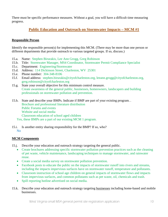There must be specific performance measures. Without a goal, you will have a difficult time measuring progress.

# **Public Education and Outreach on Stormwater Impacts – MCM #1**

### **Responsible Person**

Identify the responsible person(s) for implementing this MCM. (There may be more than one person or different departments that provide outreach to various targeted groups. If so, discuss.)

- 15.a. Name: Stephen Birurakis, Lee Ann Grogg, Greg Robinson
- 15.b. Title: Stormwater Manager, MS4 Coordinator, Stormwater Permit Compliance Specialist
- 15.c. Department: Engineering/Stormwater
- 15.d. Address: 114 Dickinson Street, Charleston, WV 25301
- 15.e. Phone number: 304-348-8106
- 15.f. Email address: [stephen.birurakis@cityofcharleston.org,](mailto:stephen.birurakis@cityofcharleston.org) [leeann.grogg@cityofcharleston.org,](mailto:leeann.grogg@cityofcharleston.org) [greg.robinson@cityofcharleston.org](mailto:greg.robinson@cityofcharleston.org)
- 15.g. State your overall objective for this minimum control measure. Create awareness of the general public, businesses, homeowners, landscapers and building professionals on stormwater pollution and prevention.
- 15.h. State and describe your BMPs. Indicate if BMP are part of your existing program. . Brochure and professional literature distribution Public Forums and events Website and social media Classroom education of school aged children Yes, these BMPs are a part of our existing MCM 1 program.
- 15.i. Is another entity sharing responsibility for the BMP? If so, who? No

# **MCM Components**

- 15.j. Describe your education and outreach strategy targeting the general public.
	- Create brochures addressing specific stormwater pollution prevention practices such as the cleaning of pet waste, vehicle maintenance, landscaping techniques to manage stormwater, and rainwater reuse.
	- Create a social media survey on stormwater pollution prevention.
	- Facebook posts to educate the public on the impacts of stormwater runoff into rivers and streams, including the impacts impervious surfaces have on stormwater runoff, temperature and pollutants.
	- Classroom instruction of school age children on general impacts of stormwater flows and impacts from impervious surfaces, and common pollutants such as pet waste, oil, chemicals and trash.
	- Spill reporting hotline advertised on social media.
- 15.k. Describe your education and outreach strategy targeting businesses including home-based and mobile businesses.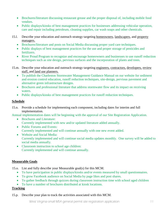- Brochures/literature discussing restaurant grease and the proper disposal of, including mobile food vendors.
- Public displays/kiosks of best management practices for businesses addressing vehicular operation, care and repair including petroleum, cleaning supplies, car wash soaps and other chemicals.
- 15.l. Describe your education and outreach strategy targeting homeowners, landscapers, and property managers.
	- Brochures/literature and posts on Social Media discussing proper yard care techniques.
	- Public displays of best management practices for the use and proper storage of pesticides and fertilizers.
	- River Proud Program to recognize and encourage homeowners and businesses to use runoff reduction techniques such as site design, pervious surfaces and the incorporation of plants and trees.
- 15.m. Describe your education and outreach strategy targeting engineers, contractors, developers, review staff, and land use planners.
	- To publish the Charleston Stormwater Management Guidance Manual on our website for sediment and erosion control education, runoff reduction techniques, site-design, pervious pavement and alternative green infrastructure designs.
	- Brochures and professional literature that address stormwater flow and its impact on receiving waters.
	- Public displays/kiosks of best management practices for runoff reduction techniques.

### **Schedule**

15.n. Provide a schedule for implementing each component, including dates for interim and full implementation.

Annual implementation dates will be beginning with the approval of our Site Registration Application.

- Brochures and Literature: Currently implemented with new and/or updated literature added annually.
- Public Forums and Events: Currently implemented and will continue annually with one new event added.
- Website and Social Media: Currently implemented and will continue social media updates monthly. One survey will be added to social media annually.
- Classroom instruction to school age children: Currently implemented and will continue annually.

### **Measurable Goals**

- 15.o. List and fully describe your Measurable goal(s) for this MCM.
	- To have participation in public displays/kiosks and/or events measured by small questionnaires.
	- To grow Facebook audience on Social Media by page likes and post shares.
	- To gather feedback through quizzes during classroom instruction time with school aged children
	- To have a number of brochures distributed at kiosk locations.

# **Tracking**

15.p. Describe your plan to track the activities associated with this MCM.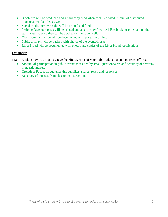- Brochures will be produced and a hard copy filed when each is created. Count of distributed brochures will be filed as well.
- Social Media survey results will be printed and filed.
- Periodic Facebook posts will be printed and a hard copy filed. All Facebook posts remain on the stormwater page so they can be tracked on the page itself.
- Classroom instruction will be documented with photos and filed.
- Public displays will be tracked with photos of the events/kiosks.
- River Proud will be documented with photos and copies of the River Proud Applications.

# **Evaluation**

- 15.q. Explain how you plan to gauge the effectiveness of your public education and outreach efforts.
	- Amount of participation in public events measured by small questionnaires and accuracy of answers in questionnaires.
	- Growth of Facebook audience through likes, shares, reach and responses.
	- Accuracy of quizzes from classroom instruction.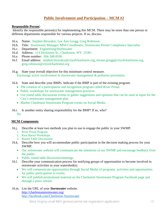# **Public Involvement and Participation – MCM #2**

#### **Responsible Person:**

Identify the responsible person(s) for implementing this MCM. There may be more than one person or different departments responsible for various projects. If so, discuss.

- 16.a. Name: Stephen Birurakis, Lee Ann Grogg, Greg Robinson
- 16.b. Title: Stormwater Manager, MS4 Coordinator, Stormwater Permit Compliance Specialist
- 16.c. Department: Engineering/Stormwater
- 16.d. Address: 114 Dickinson St., Charleston, WV 25301
- 16.e. Phone number: 304-348-8106
- 16.f. Email address: stephen.birurakis@cityofcharleston.org, [leeann.grogg@cityofcharleston.org,](mailto:leeann.grogg@cityofcharleston.org) greg.robinson@cityofcharleston.org
- 16.g. State your overall objective for this minimum control measure. Encourage active involvement in stormwater management & pollution prevention.
- 16.h. State and describe your BMPs. Indicate if the BMP is part of the existing program.
	- The creation of a participation and recognition program called River Proud.
	- Public workshops for stormwater management practices.
	- Use round table discussions events to gather suggestions and opinions that can be used as input for the City's stormwater management plan.
	- Market Charleston Stormwater Program events on Social Media.
- 16.i. Is another entity sharing responsibility for the BMP? If so, who? No

### **MCM Components**

- 16.j. Describe at least two methods you plan to use to engage the public in your SWMP.
	- 1. River Proud Program
	- 2. Rain Barrel Workshops
	- 3. Round Table Discussions
- 16.k. Describe how you will accommodate public participation in the decision making process for your SWMP.
	- Our stormwater website will communicate the intentions of our SWMP and encourage feedback from the public.
	- Public round table discussion/meetings.
- 16.l. Describe your communication process for notifying groups of opportunities to become involved in stormwater activities in your watershed(s).
	- We will communicate opportunities through Social Media of programs, activities and opportunities for public participation in events.
	- We will publish promotional material on the Charleston Stormwater Program Facebook page and through a press release.
- 16.m. List the URL of your *Stormwater* website. <http://charlestonstormwater.org/> http://facebook.com/Charleston Stormwater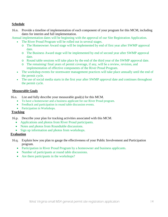### **Schedule**

16.n. Provide a timeline of implementation of each component of your program for this MCM, including dates for interim and full implementation.

Annual implementation dates will be beginning with the approval of our Site Registration Application.

- The River Proud Program will be rolled out in several stages.
	- o The Homeowner Award stage will be implemented by end of first year after SWMP approval date.
	- o The Business Award stage will be implemented by end of second year after SWMP approval date.
	- o Round table sessions will take place by the end of the third year of the SWMP approval date.
	- o The remaining/ final years of permit coverage, if any, will be a review, revision, and implementation of effective components of the River Proud Program.
- The workshop events for stormwater management practices will take place annually until the end of the permit cycle.
- The use of social media starts in the first year after SWMP approval date and continues throughout the permit cycle.

### **Measurable Goals**

- 16.o. List and fully describe your measurable goal(s) for this MCM.
	- To have a homeowner and a business applicant for our River Proud program.
	- Feedback and participation in round table discussion events.
	- Participation in Workshops.

### **Tracking**

- 16.p. Describe your plan for tracking activities associated with this MCM.
	- Applications and photos from River Proud participants.
	- Notes and photos from Roundtable discussions.
	- Sign up information and photos from workshops.

### **Evaluation**

- 16.q. Explain how you plan to gauge the effectiveness of your Public Involvement and Participation program.
	- Participation in River Proud Program by a homeowner and business applicants.
	- Number of participants at round table discussions.
	- Are there participants in the workshops?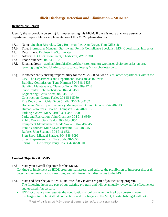# **Illicit Discharge Detection and Elimination – MCM #3**

#### **Responsible Person**

Identify the responsible person(s) for implementing this MCM. If there is more than one person or department responsible for implementation of this MCM, please discuss.

- 17.a. Name: Stephen Birurakis, Greg Robinson, Lee Ann Grogg, Tom Gillespie
- 17.b. Title: Stormwater Manager, Stormwater Permit Compliance Specialist, MS4 Coordinator, Inspector
- 17.c. Department: Engineering/Stormwater
- 17.d. Address:114 Dickinson Street, Charleston, WV 25301
- 17.e. Phone number: 304-348-8106
- 17.f. Email address: [stephen.birurakis@cityofcharleston.org,](mailto:stephen.birurakis@cityofcharleston.org) [greg.robinson@cityofcharleston.org,](mailto:greg.robinson@cityofcharleston.org) [leeann.grogg@cityofcharleston.org,](mailto:leeann.grogg@cityofcharleston.org) [tom.gillespie@cityofcharleston.org](mailto:tom.gillespie@cityofcharleston.org)
- 17.g. Is another entity sharing responsibility for the MCM? If so, who? Yes, other departments within the City. The Departments and Department Heads are as follows: Building Commission: Tony Harmon 304-348-6833 Building Maintenance: Clarence Terry 304-389-2748 Civic Center: John Robertson 304-345-1500 Engineering: Chris Knox 304-348-8106 Construction: George Farley 304-561-5030 Fire Department: Chief Scott Shaffer 304-348-8137 Homeland Security – Emergency Management: Grant Gunnoe 304-348-8130 Human Resources: Charlie Thompson 304-348-8015 Parking System: Mary Jarrell 304-348-1090 Parks and Recreation: John Charnock 304-348-6860 Public Works: Gary Taylor 304-348-6850 Equipment Maintenance: Linda Walker 304-348-6456 Public Grounds: Mike Davis (interim) 304-348-6458 Refuse: John Shannon 304-348-6831 Sign Shop: Michael Shrader 304-348-8096 Street Department: Bill Tate 304-348-6850 Spring Hill Cemetery: Perry Cox 304-348-8010

#### **Control Objective & BMPs**

- 17.h. State your overall objective for this MCM. Continue to implement an IDDE program that assess, and enforce the prohibition of improper disposal, detect and remove illicit connections, and eliminate illicit discharges to the MS4.
- 17.i. State and describe your BMPs. Indicate if any BMPs are part of your existing program. The following items are part of our existing program and will be annually reviewed for effectiveness and updated if necessary:
	- IDDE Ordinance to regulate the contribution of pollutants to the MS4 by non-stormwater discharges; to prohibit illicit connections and discharges to the MS4; to establish legal authority to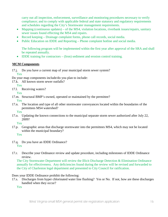carry out all inspection, enforcement, surveillance and monitoring procedures necessary to verify compliance; and to comply with applicable federal and state statutory and regulatory requirements and schedules regarding the City's Stormwater management requirements.

- Mapping (continuous updates) of the MS4, violation locations, riverbank issues/repairs, sanitary sewer issues found effecting the MS4 and repairs.
- Record keeping Drainage complaint forms, phone call records, social media.
- Public Education on IDDE and Reporting Phone complaint hotline and social media.

The following program will be implemented within the first year after approval of the SRA and shall be repeated annually.

• **IDDE** training for contractors – (Iron) sediment and erosion control training.

# **MCM Components**

17.j. Do you have a current map of your municipal storm sewer system?

Yes

Do your map components include/do you plan to include:

- 17.k. All known storm sewer outfalls?
- Yes
- 17.l. Receiving waters?

Yes

- 17.m. Structural BMP's owned, operated or maintained by the permittee? Yes
- 17.n. The location and type of all other stormwater conveyances located within the boundaries of the permittees MS4 watershed?

Yes

17.o. Updating the known connections to the municipal separate storm sewer authorized after July 22, 2009?

Yes

17.p. Geographic areas that discharge stormwater into the permittees MS4, which may not be located within the municipal boundary?

Yes

- 17.q. Do you have an IDDE Ordinance? Yes
- 17.r. Describe your Ordinance review and update procedure, including milestones of IDDE Ordinance review.

The City Stormwater Department will review the Illicit Discharge Detection & Elimination Ordinance annually for effectiveness. Any deficiencies found during the review will be revised and forwarded to the City of Charleston legal department and presented to City Council for ratification.

# Does your IDDE Ordinance prohibit the following:

17.s. Discharges from hyper chlorinated water line flushing? Yes or No. If not, how are these discharges handled when they occur?

Yes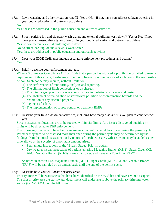17.t. Lawn watering and other irrigation runoff? Yes or No. If not, have you addressed lawn watering in your public education and outreach activities? No.

Yes, these are addressed in the public education and outreach activities.

17.u. Street, parking lot, and sidewalk wash water, and external building wash down? Yes or No. If not, have you addressed these types of runoff in your public education and outreach activities? Yes, to commercial external building wash down.

No, to street, parking lot and sidewalk wash water.

Yes, these are addressed in public education and outreach activities.

- 17.v. Does your IDDE Ordinance include escalating enforcement procedures and actions? Yes
- 17.w. Briefly describe your enforcement strategy.

When a Stormwater Compliance Officer finds that a person has violated a prohibition or failed to meet a requirement of this article, he/she may order compliance by written notice of violation to the responsible person. Such notice may require, without limitation:

- (1) The performance of monitoring, analysis and reporting.
- (2) The elimination of illicit connections or discharges.
- (3) That discharges, practices or operations that are in violation shall cease and desist.
- (4) The abatement or remediation of stormwater pollution or contamination hazards and the restoration of any affected property.
- (5) Payment of a fine.

.

- (6) The implementation of source control or treatment BMPs
- 17.x. Describe your field assessment activities, including how many assessments you plan to conduct each year.

Stream assessment locations are to be focused within city limits. Any issues discovered outside city limits will be directed to DEP enforcement.

The following streams will have field assessments that will occur at least once during the permit cycle. Whether they need to be assessed more than once during the permit cycle may be determined by the findings from the initial assessment or by reports of localized issues. Other streams may be added as per time allows or the severity of a pollutant amount arises.

- Semiannual inspections of the "Bream Street" Priority outfall
- Dry weather visual inspections of outfalls entering Magazine Branch (KE-1), Sugar Creek (KL-76-C), Venable Branch (KU-3), Kanawha Lower, and Kanawha Two Mile (KL-76)

As noted in section 14.b Magazine Branch (KE-1), Sugar Creek (KL-76-C), and Venable Branch (KU-3) will be sampled on an annual basis until the end of the permit cycle.

17.y. Describe how you will locate "priority areas".

Priority areas will be watersheds that have been identified on the 303d list and have TMDLs assigned. The first priority area the stormwater department will undertake is above the primary drinking water source (i.e. WVAWC) on the Elk River.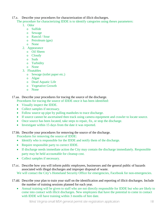17.z. Describe your procedures for characterization of illicit discharges.

The procedure for characterizing IDDE is to identify categories using theses parameters:

- 1. Odor
	- o Sulfide
	- o Sewage
	- o Rancid / Sour
	- o Petroleum (gas)
	- o None
- 2. Appearance
	- o Oil Sheen
	- o Cloudy
	- o Suds
	- o Turbidity
	- o None
- 3. Floatables
	- o Sewage (toilet paper etc.)
	- o Algae
	- o Dead Aquatic Life
	- o Vegetative Growth
	- o None

17.aa. Describe your procedures for tracing the source of the discharge.

Procedures for tracing the source of IDDE once it has been identified:

- Visually inspect the IDDE.
- Collect samples if necessary.
- Follow source up pipe by pulling manholes to trace discharge.
- If source cannot be ascertained then track using camera equipment and crawler to locate source.
- Once source has been located, take steps to repair, fix, or stop the discharge.
- Investigate within 15 days from the date it was reported.

17.bb. Describe your procedures for removing the source of the discharge.

Procedures for removing the source of IDDE:

- Identify who is responsible for the IDDE and notify them of the discharge.
- Require responsible party to correct IDDE.
- If discharge needs immediate action the City may contain the discharge immediately. Responsible party may be held accountable for cleanup cost.
- Collect samples if necessary.
- 17.cc. Describe how you will inform public employees, businesses and the general public of hazards associated with illegal discharges and improper disposal of waste. We will contact the City's Homeland Security Office for emergencies, Facebook for non-emergencies.
- 17.dd. Describe your plan to train your staff on the identification and reporting of illicit discharges. Include the number of training sessions planned for each year.
	- Annual training will be given to staff who are not directly responsible for IDDE but who are likely to come into contact with illicit discharges. New employees that have the potential to come in contact with IDDE will have training within 3 months of hire date.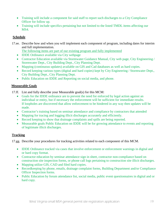- Training will include a component for said staff to report such discharges to a City Compliance Officer for follow up.
- Training will include specifics pertaining but not limited to the listed TMDL items affecting our MS4.

# **Schedule**

17.ee. Describe how and when you will implement each component of program, including dates for interim and full implementation.

The following items are part of our existing program and fully implemented

- IDDE Ordinance available via City webpage
- Contractor Education available via Stormwater Guidance Manual, City web page, City Engineering / Stormwater Dept., City Building Dept., City Planning Dept.
- Mapping (continuous updates) available on GIS and Cad databases as well as hard copies.
- Record keeping various types (digital and hard copies) kept by City Engineering / Stormwater Dept., City Building Dept., City Planning Dept.
- Public Education on IDDE and Reporting on social media, and phone.

# **Measurable Goals**

- 17.ff. List and fully describe your Measurable goal(s) for this MCM:
	- Goals for the IDDE ordinance are to prevent the need for enforced by legal action against an individual or entity, but if necessary the enforcement will be sufficient for immediate results. If loopholes are discovered that allow enforcement to be hindered in any way then updates will be made.
	- Contractor's training based on seminar attendance and compliance by contractors that attended
	- Mapping for tracing and logging illicit discharges accurately and efficiently.
	- Record keeping to show that drainage complaints and spills are being reported.
	- Measurable goals Public Education on IDDE will be for growing attendance to events and reporting of legitimate illicit discharges.

# **Tracking**

17.gg. Describe your procedures for tracking activities related to each component of this MCM.

- IDDE Ordinance tracked via cases that involve enforcement or enforcement warnings in digital and or hard copy format.
- Contractor education by seminar attendance sign in sheet, contractor non-compliance based on construction site inspection forms, or phone call logs pertaining to construction site illicit discharges.
- Mapping utilize GIS, CAD and filed hard copies.
- Recordkeeping by phone, emails, drainage complaint forms, Building Department and/or Compliance Officer Inspection forms.
- Public Education by forum attendance list, social media, public event questionnaires in digital and or hard copy.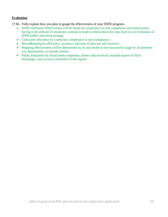### **Evaluation**

17.hh. Fully explain how you plan to gauge the effectiveness of your IDDE program.

- IDDE Ordinance effectiveness will be based on compliance or non-compliance and enforcement having to be utilized. If situations continue to lead to enforcement this may lead to a re-evaluation of IDDE public education strategy.
- Contractor education by contractor compliance or non-compliance.
- Recordkeeping by efficiency, accuracy, and ease of data use and recovery.
- Mapping effectiveness will be determined by its successful or non-successful usage by all pertinent city departments, or outside entities.
- Public Education by social media responses, phone calls received, emailed reports of illicit discharges, and accuracy/reliability of the reports.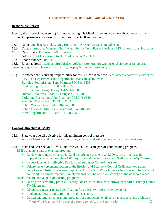# **Construction Site Run-off Control – MCM #4**

#### **Responsible Person**

Identify the responsible person(s) for implementing this MCM. There may be more than one person or different departments responsible for various projects. If so, discuss.

- 18.a. Name: Stephen Birurakis, Greg Robinson, Lee Ann Grogg, Tom Gillespie
- 18.b. Title: Stormwater Manager, Stormwater Permit Compliance Specialist, MS4 Coordinator, Inspector
- 18.c. Department: Engineering/Stormwater
- 18.d. Address: 114 Dickinson Street, Charleston, WV 25301
- 18.e. Phone number: 304-348-8106
- 18.f. Email address: [stephen.birurakis@cityofcharleston.org,](mailto:stephen.birurakis@cityofcharleston.org) [greg.robinson@cityofcharleston.org,](mailto:greg.robinson@cityofcharleston.org)
- [leeann.grogg@cityofcharleston.org,](mailto:leeann.grogg@cityofcharleston.org) [tom.gillespie@cityofcharleston.org](mailto:tom.gillespie@cityofcharleston.org)
- 18.g. Is another entity sharing responsibility for this MCM? If so, who? Yes, other departments within the City. The Departments and Department Heads are as follows: Building Commission: Tony Harmon 304-348-6833 Engineering: Chris Knox 304-348-8106 Construction: George Farley 304-561-5030 Human Resources: Charlie Thompson 304-348-8015 Parks and Recreation: John Charnock 304-348-6860 Planning: Dan Vriendt 304-348-8105 Public Works: Gary Taylor 304-348-6850 Public Grounds: Mike Davis (interim) 304-348-6458 Street Department: Bill Tate 304-348-6850

### **Control Objective & BMPs**

- 18.h. State your overall objective for this minimum control measure. To improve Erosion and Sediment monitoring, control, and enforcement of construction site run-off.
- 18.i. State and describe your BMPs. Indicate which BMPs are part of your existing program. BMPs that are a part of existing program:
	- Review building/site plans with land disturbance greater that 5,000 sq. ft. or increase the impervious area by more than 1,000 sq. ft. for adequate Erosion and Sediment (E&S) Controls.
	- Inspect jobsites for effective Erosion and Sediment Control measures.
	- Utilize the enforcement section of the Erosion and Sediment Control Ordinance toward noncompliance jobsites to ensure compliance. Utilize Stop Work Orders when noncompliance is not corrected in a timely manner. Timely manner will be based on severity of the noncompliance.
	- BMPs that are not yet part of existing program:
		- During the permitting process, identify construction sites that stormwater runoff discharges into a TMDL stream.
		- Obtain stormwater related certification for at least two stormwater personnel.
		- Implement E&S training for municipal inspectors.
		- West Virginia small MS4 general permit site registration application 21 • Design and implement training program for contractors, engineers, landscapers, and architects.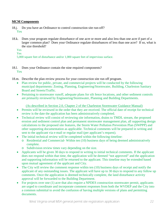### **MCM Components**

- 18.j. Do you have an Ordinance to control construction site run-off? Yes
- 18.k. Does your program regulate disturbance of one acre or more and also less than one acre if part of a larger common plan? Does your Ordinance regulate disturbances of less than one acre? If so, what is the size threshold?

Yes

Yes

5,000 square feet of disturbance and/or 1,000 square feet of impervious surface.

- 18.l. Does your Ordinance contain the nine required components? Yes
- 18.m. Describe the plan review process for your construction site run off program.
	- Plan review for public, private, and commercial projects will be conducted by the following municipal departments: Zoning, Planning, Engineering/Stormwater, Building, Charleston Sanitary Board and Streets/Traffic.
	- Pertaining to stormwater runoff, adequate plans for silt fence locations, and other sediment controls are primarily reviewed by Engineering/Stormwater, Planning and Building Departments.

(As described in Section 2.0, Chapter 2 of the Charleston Stormwater Guidance Manual)

- Permits will be reviewed in the order that they are received. The official date of receipt for technical review is the date the application has been administratively completed.
- Technical review will consist of reviewing site information, drains to TMDL stream, the proposed erosion and sediment control plan and permanent stormwater management plan, all supporting design calculations to the proposed site features, the Storm Water Pollution Prevention Plan (SWPPP) and other supporting documentation as applicable. Technical comments will be prepared in writing and sent to the applicant via e-mail or regular mail (per applicant's request).
- The initial technical review will be completed within the following timeline:
	- o Residential and Commercial- Within ten (10) business days of being deemed administratively complete.
	- o Subdivision review times vary depending on the size.
- Applicants will be given 30 days to respond in writing to initial technical comments. If the applicant does not respond within that time, the application will be deemed "not approved" and the application and supporting information will be returned to the applicant. This timeline may be extended based upon mutual agreement of the applicant and City.
- The City will review the comment response within ten (10) business days of receipt and notify the applicant of any outstanding issues. The applicant will have up to 30 days to respond to any follow up comments. Once the application is deemed technically complete, the land disturbance activity approval will be forwarded to the Building Department.
- For projects over one (1) acre that also require a NPDES construction stormwater permit, applicants are urged to coordinate and incorporate comment responses from both the WVDEP and the City into a common submittal to avoid the confusion of having multiple versions of plans and permitting documents.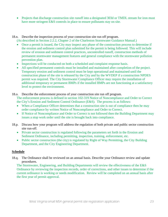- Projects that discharge construction site runoff into a designated 303d or TMDL stream for iron must have more stringent E&S controls in place to ensure pollutants stay on site.
- 18.n. Describe the inspection process of your construction site run off program.
	- (As described in Section 2.2.2, Chapter 2 of the Charleston Stormwater Guidance Manual.) • Once a permit is issued, the City may inspect any phase of the construction process to determine if
	- the erosion and sediment control plan submitted for the permit is being followed. This will include review of erosion and sediment control practices, uncontrolled runoff, construction methods of permanent stormwater management features and general compliance with the stormwater pollution prevention plan.
	- Inspections will be conducted on both a scheduled and complaint response basis.
	- All specified permanent controls must be installed and maintained after completion of the project. Temporary erosion and sediment control must be kept operational and maintained until the construction phase of the site is released by the City and by the WVDEP if a construction NPDES permit was required. The City Stormwater Compliance Officer may require the installation of additional temporary or permanent BMPs if the installed BMPs are not functioning at a satisfactory level to protect the environment.
- 18.o. Describe the enforcement process of your construction site run off program. The enforcement process is defined in section 102-319 Notice of Noncompliance and Order to Correct the City's Erosion and Sediment Control Ordinance (E&S). The process is as follows:
	- When a Compliance Officer determines that a construction site is out of compliance then he may order compliance by written Notice of Noncompliance and Order to Correct.
	- If Notice of Noncompliance and Order to Correct is not followed then the Building Department may issues a stop work order until the site is brought back into compliance.
- 18.p. Discuss how your program will address the regulation of both private and public sector construction site run-off.
	- Private sector construction is regulated following the parameters set forth in the Erosion and Sediment Ordinance, including permitting, inspection, training, enforcement, etc.
	- Public sector construction (the city) is regulated by Right of Way Permitting, the City Building Department, and the City Engineering Department.

# **Schedule**

18.q. The Ordinance shall be reviewed on an annual basis. Describe your Ordinance review and update procedures.

The Stormwater, Engineering, and Building Departments will review the effectiveness of the E&S Ordinance by reviewing the inspection records, order of corrections, and other issues to determine if the current ordinance is working or needs modification. Review will be completed on an annual basis after the first year of permit approval.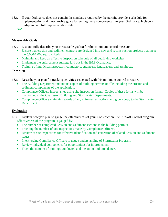18.r. If your Ordinance does not contain the standards required by the permit, provide a schedule for implementation and measureable goals for getting these components into your Ordinance. Include a mid-point and full implementation date.

N/A

### **Measurable Goals**

18.s. List and fully describe your measurable goal(s) for this minimum control measure.

- Ensure that erosion and sediment controls are designed into new and reconstruction projects that meet the 5,000/1,000 sq. ft. criteria.
- Maintain and keep an effective inspection schedule of all qualifying worksites.
- Implement the enforcement strategy laid out in the E&S Ordinance.
- Training of municipal inspectors, contractors, engineers, landscapers, and architects.

# **Tracking**

- . 18.t. Describe your plan for tracking activities associated with this minimum control measure.
	- The Building Department maintains copies of building permits on file including the erosion and sediment components of the application.
	- Compliance Officers inspect sites using site inspection forms. Copies of these forms will be maintained at the Charleston Building and Stormwater Departments.
	- Compliance Officers maintain records of any enforcement actions and give a copy to the Stormwater Department.

# **Evaluation**

- 18.u. Explain how you plan to gauge the effectiveness of your Construction Site Run-off Control program. Effectiveness of the program is gauged by:
	- The number of completed Erosion and Sediment sections in the building permits.
	- Tracking the number of site inspections made by Compliance Officers.
	- Review of site inspections for effective identification and correction of related Erosion and Sediment issues.
	- Interviewing Compliance Officers to gauge understanding of Stormwater Program.
	- Review individual components for opportunities for improvement.
	- Track the number of trainings conducted and the amount of attendance.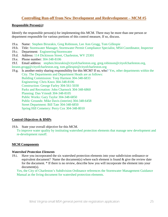# **Controlling Run-off from New Development and Redevelopment – MCM #5**

#### **Responsible Person(s):**

Identify the responsible person(s) for implementing this MCM. There may be more than one person or department responsible for various portions of this control measure, If so, discuss.

- 19.a. Name: Stephen Birurakis, Greg Robinson, Lee Ann Grogg, Tom Gillespie
- 19.b. Title: Stormwater Manager, Stormwater Permit Compliance Specialist, MS4 Coordinator, Inspector
- 19.c. Department: Engineering/Stormwater
- 19.d. Address: 114 Dickinson Street, Charleston, WV 25301
- 19.e. Phone number: 304-348-8106
- 19.f. Email address: [stephen.birurakis@cityofcharleston.org,](mailto:stephen.birurakis@cityofcharleston.org) [greg.robinson@cityofcharleston.org,](mailto:greg.robinson@cityofcharleston.org)
- [leeann.grogg@cityofcharleston.org,](mailto:leeann.grogg@cityofcharleston.org) [tom.gillespie@cityofcharleston.org](mailto:tom.gillespie@cityofcharleston.org)
- 19.g. Is another entity sharing responsibility for this MCM? If so, who? Yes, other departments within the City. The Departments and Department Heads are as follows: Building Commission: Tony Harmon 304-348-6833 Engineering: Chris Knox 304-348-8106 Construction: George Farley 304-561-5030 Parks and Recreation: John Charnock 304-348-6860 Planning: Dan Vriendt 304-348-8105 Public Works: Gary Taylor 304-348-6850 Public Grounds: Mike Davis (interim) 304-348-6458 Street Department: Bill Tate 304-348-6850 Spring Hill Cemetery: Perry Cox 304-348-8010

### **Control Objectives & BMPs**

19.h. State your overall objective for this MCM.

To improve water quality by instituting watershed protection elements that manage new development and re-development runoff.

### **MCM Components**

#### *Watershed Protection Elements*

19.i. Have you incorporated the six watershed protection elements into your subdivision ordinance or equivalent document? Name the document(s) where each element is found  $\&$  give the review date for the document. \* If there is no review, describe how you will incorporate the element into your document(s).

Yes, the City of Charleston's Subdivision Ordinance references the Stormwater Management Guidance Manual as the living document for watershed protection elements.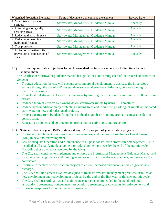| <b>Watershed Protection Elements</b>          | Name of document that contains the element   | <i><b>*Review Date</b></i> |
|-----------------------------------------------|----------------------------------------------|----------------------------|
| 1. Minimizing impervious<br>surfaces          | <b>Stormwater Management Guidance Manual</b> | Annually                   |
| 2. Preserving ecologically<br>sensitive areas | <b>Stormwater Management Guidance Manual</b> | Annually                   |
| 3. Reducing thermal impacts                   | <b>Stormwater Management Guidance Manual</b> | Annually                   |
| 4. Reducing or avoiding<br>hydromodification  | <b>Stormwater Management Guidance Manual</b> | Annually                   |
| 5. Tree protection                            | <b>Stormwater Management Guidance Manual</b> | Annually                   |
| 6. Protection of native soils,                |                                              |                            |
| prevention of compaction of                   | <b>Stormwater Management Guidance Manual</b> | Annually                   |
| soils                                         |                                              |                            |

19.j. List your quantifiable objectives for each watershed protection element, including time frames to achieve them.

The Charleston Stormwater guidance manual has guidelines concerning each of the watershed protection elements.

- Through education the city will encourage commercial development to decrease the impervious surface through the use of LID design ideas such as alternative cul-de-sacs, pervious paving for overflow parking, etc.
- Protect natural stream banks and riparian areas by limiting construction to a minimum of 50 feet from stream.
- Reduced thermal impacts by slowing down stormwater runoff by using LID practices.
- Reduce hydromodification by protecting existing trees and minimizing parking lot runoff of untreated stormwater in new and redesigned projects.
- Protect existing trees by identifying them in the design phase in taking protective measures during construction.
- Educating designers and contractors on protection of native soils and prevention.

19.k. State and describe your BMPs. Indicate if any BMPs are part of your existing program.

- Continue to implement measures to encourage and expand the use of Low Impact Development (LID) in new and redevelopment.
- Ensure adequate Operation and Maintenance of all post-construction stormwater management BMPs installed at all qualifying development or redevelopment projects by the end of the permit cycle (including those owned or operated by the City).
- The City shall continue to implement and enforce the Stormwater Management Guidance Manual and provide technical guidance and training seminars on LID to developers, planners, engineers, and/or contractors.
- Continue inspection of construction projects to ensure increased and uncontaminated groundwater recharge.
- The City shall implement a system designed to track stormwater management practices installed at new development and redevelopment projects by the end of the first year of the new permit cycle.
- The City shall use ordinances and maintenance agreements imbedded in the neighborhood association agreements, homeowners' association agreements, or covenants for enforcement and follow up responses for unmaintained stormwater.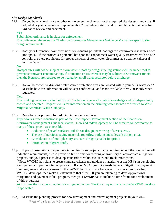### *Site Design Standards*

19.l. Do you have an ordinance or other enforcement mechanism for the required site design standards? If not, what is your schedule of implementation? Include mid-term and full implementation dates for Ordinance review and enactment.

Yes

Subdivision ordinance is in place for enforcement.

The ordinance references the Charleston Stormwater Management Guidance Manual for specific site design requirements.

19.m. Does your Ordinance have provisions for reducing pollutant loadings for stormwater discharges from Hot Spots? If the project is a potential hot spot and cannot meet water quality treatment with on-site controls, are there provisions for proper disposal of stormwater discharges at a treatment/disposal facility? Why

No.

Hotspot sites will not be subject to stormwater runoff by design (fueling stations will be under roof to prevent stormwater contamination). If a situation arises where it may be subject to Stormwater runoff then the Hotspots are required to be treated by an oil water separator before discharge.

19.n. Do you know where drinking water source protection areas are located within your MS4 watershed? Describe how this information will be kept confidential, and made available to WVDEP only when requested.

Yes.

The drinking water source in the City of Charleston is generally public knowledge and is independently owned and operated. Requests to us for information on the drinking water source are directed to West Virginia American Water Company.

19.o. Describe your program for reducing impervious surfaces.

Impervious surface reduction is part of the Low Impact Development section of the Charleston Stormwater Management Guidance Manual. New and redevelopment will be directed to incorporate as many of these practices as feasible:

- Reduction of paved surfaces (cul-de-sac design, narrowing of streets, etc.).
- The use of pervious paving materials (overflow parking and sidewalk design, etc.).
- Consideration of multiple story structure design (smaller footprint).
- Introduction of green roofs.

19.p. If you choose mitigation/payment in lieu for those projects that cannot implement the one inch runoff reduction requirements, please provide a time frame for creating an inventory of appropriate mitigation projects, and your process to develop standards to value, evaluate, and track transactions.

(Note: WVDEP has plans to create standard criteria and guidance material to assist MS4's in developing a mitigation and payment in lieu program. If your MS4 does not already have a mitigation or payment in lieu program – make a statement in the SWMP that you do not have one. If you want to use what WVDEP develops, then make a statement to that effect. If you are planning to develop your own mitigation and payment in lieu program, then your SWMP has to include a time frame for development of this program.)

At this time the city has no option for mitigation in lieu. The City may utilize what the WVDEP develops if applicable.

West Virginia small MS4 general permit site registration application 27 19.q. Describe the planning process for new development and redevelopment projects in your MS4.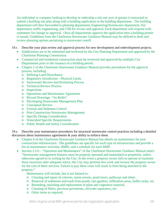An individual or company looking to develop or redevelop a site one acre or greater is instructed to submit a building site plan along with a building application to the building department. The building department will then forwarded to planning department, Engineering/Stormwater department, fire department, traffic engineering, and CSB for review and approval. Each department will respond with comments for change or approval. Once all departments approve the application then a building permit is issued. Guidelines from the Charleston Stormwater Guidance Manual may be utilized to draft and review planning options pertaining to stormwater runoff.

- 19.r. Describe your plan review and approval process for new development and redevelopment projects.
	- Subdivisions are to be submitted and reviewed by the City Planning Department and approved by the Charleston Planning Commission.
	- Commercial and residential construction must be reviewed and approved by multiple City Departments prior to the issuance of a building permit.
	- Chapter 2 of the Charleston Stormwater Guidance Manual provides procedures for the approval process, including:
		- o Defining Land Disturbance
		- o Regulatory Jurisdiction Physical Limits
		- o Stormwater Review and Permitting Process
		- o Technical Review Process
		- o Inspections
		- o Operations and Maintenance Agreement
		- o Record Drawings- "As Builts"
		- o Developing Stormwater Management Plan
		- o Conceptual Review
		- o Erosion and Sediment Control
		- o Post-Construction Stormwater Management
		- o Specific Design Consideration
		- o Watershed Specific Requirements
		- o Public Health and Safety Consideration

19.s. Describe your maintenance procedures for structural stormwater control practices including a detailed discussion about maintenance agreements & your ability to enforce them.

- Chapter 6 of the Charleston Stormwater Guidance Manual has details on maintenance for post construction infrastructure. The guidelines are specific for each type of infrastructure and provide a list of maintenance activities, BMPs, and a schedule for each BMP.
- Section 2.2.6 "Operation and Maintenance" of the Charleston Stormwater Guidance Manual states: "Stormwater management features must be properly operated and maintained in perpetuity, unless otherwise agreed to in writing by the City. In the event a property owner fails to operate or maintain these structures after adequate notice, the City may perform this work and invoice the property owner for the cost of these services. Failure to pay these costs will result in liens being attached to the property."

Maintenance will include, but is not limited to:

- o Cleaning and repair of culverts, storm sewers, pond risers, spillways and inlets.
- o Removal of sediments and trash from ponds, rain gardens, infiltration areas, buffer strips, etc.
- o Reseeding, mulching and replacement of plant and vegetative material.
- o Cleaning of filters, pervious pavements, oil/water separators, etc.
- o Other items as required.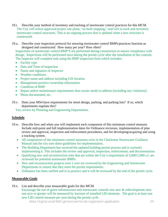- 19.t. Describe your method of inventory and tracking of stormwater control practices for this MCM. The City will utilize approved project site plans, "as-built mapping," and GIS to track and inventory stormwater control structures. This is an ongoing process that is updated when a new structure is constructed.
- 19.u. Describe your inspection protocol for ensuring stormwater control BMPs/practices function as designed and constructed: How many per year? How often?

Inspections of stormwater control BMP'S are performed during construction to ensure compliance with design. Inspections will be performed once during the permit cycle after the installation of the controls. The inspector will complete task using the BMP inspection form which includes:

- Facility type
- Date and Time of inspection
- Name and signature of inspector
- Weather conditions
- Project name and address including GIS location
- Management practice ownership information
- Condition of BMP
- Repair and/or maintenance requirements than owner needs to address (including any violations)
- Photo documented, etc.
- 19.v. Does your MS4 have requirements for street design, parking, and parking lots? If so, which departments regulate this?

Yes, review by Planning and Engineering Departments.

# **Schedule**

- 19.w. Describe how and when you will implement each component of this minimum control measure. Include mid-point and full implementation dates for Ordinance revisions, implementation of plan review and approval, inspection and enforcement procedures, and for developing/acquiring and using a tracking system.
	- All components of the minimum control measures exist in the Charleston Stormwater Guidance Manual and the city uses these guidelines for implementation.
	- The Building Department has received the updated building permit process and is currently implementing it. This includes the review and approval, inspection, enforcement, and documentation.
	- Oualifying new and reconstruction sites that are within the City's requirement of 5,000/1,000 s.f. are reviewed for potential stormwater BMPs.
	- New and reconstruction projects over 1 acre are reviewed by the Engineering and Stormwater Departments to ensure that they meet the permit requirements.
	- Ordinance has been ratified and is in practice and it will be reviewed by the end of the permit cycle.

# **Measurable Goals**

19.x. List and describe your measurable goals for this MCM.

Encourage the use of green infrastructure and stormwater controls into new & redevelopment sites one acre or greater will be measured by increase of installed LID elements. The goal is at least one new LID control measure per year during the permit cycle.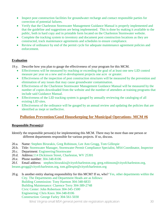- Inspect post construction facilities for groundwater recharge and contact responsible parties for correction of potential failures.
- Verify that the Charleston Stormwater Management Guidance Manual is properly implemented and that the guideline and suggestions are being implemented. This is done by making it available to the public, both in hard copy and in printable form located on the Charleston Stormwater website.
- Complete the tracking system to inventory and document post construction locations as they are constructed, track maintenance agreements and schedules to ensure compliance.
- Review of ordinance by end of the permit cycle for adequate maintenance agreement policies and enforcement.

# **Evaluation**

- 19.y. Describe how you plan to gauge the effectiveness of your program for this MCM.
	- Effectiveness will be measured by reaching or exceeding the goal of at least one new LID control measure per year on a new and re-development projects one acre or greater.
	- Effectiveness of the inspection of post construction structures will be measured by the prevention and elimination of any issues that may cause groundwater contamination.
	- Effectiveness of the Charleston Stormwater Management Guidance Manual will be measured by the number of copies downloaded from the website and the number of attendees at training programs that include said Guidance Manual.
	- Effectiveness of the LID tracking system is gauged by annually reviewing the cataloging of all existing LID sites.
	- Effectiveness of the ordinance will be gauged by an annual review and updating the policies that are identified as inept or ineffective.

# **Pollution Prevention/Good Housekeeping for Municipal Operations- MCM #6**

### **Responsible Person(s):**

- Identify the responsible person(s) for implementing this MCM. There may be more than one person or different departments responsible for various projects. If so, discuss.
- 20.a. Name: Stephen Birurakis, Greg Robinson, Lee Ann Grogg, Tom Gillespie
- 20.b. Title: Stormwater Manager, Stormwater Permit Compliance Specialist, MS4 Coordinator, Inspector
- 20.c. Department: Engineering/Stormwater
- 20.d. Address:114 Dickinson Street, Charleston, WV 25301
- 20.e. Phone number: 304-348-8106
- 20.f. Email address: [stephen.birurakis@cityofcharleston.org,](mailto:stephen.birurakis@cityofcharleston.org) [greg.robinson@cityofcharleston.org,](mailto:greg.robinson@cityofcharleston.org)

[leeann.grogg@cityofcharleston.org,](mailto:leeann.grogg@cityofcharleston.org) [tom.gillespie@cityofcharleston.org](mailto:tom.gillespie@cityofcharleston.org)

20.g. Is another entity sharing responsibility for this MCM? If so, who? Yes, other departments within the City. The Departments and Department Heads are as follows: Building Commission: Tony Harmon 304-348-6833 Building Maintenance: Clarence Terry 304-389-2748 Civic Center: John Robertson 304-345-1500 Engineering: Chris Knox 304-348-8106 Construction: George Farley 304-561-5030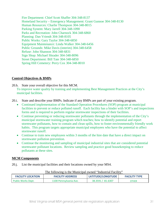Fire Department: Chief Scott Shaffer 304-348-8137 Homeland Security – Emergency Management: Grant Gunnoe 304-348-8130 Human Resources: Charlie Thompson 304-348-8015 Parking System: Mary Jarrell 304-348-1090 Parks and Recreation: John Charnock 304-348-6860 Planning: Dan Vriendt 304-348-8105 Public Works: Gary Taylor 304-348-6850 Equipment Maintenance: Linda Walker 304-348-6456 Public Grounds: Mike Davis (interim) 304-348-6458 Refuse: John Shannon 304-348-6831 Sign Shop: Michael Shrader 304-348-8096 Street Department: Bill Tate 304-348-6850 Spring Hill Cemetery: Perry Cox 304-348-8010

### **Control Objectives & BMPs**

- 20.h. State your overall objective for this MCM. To improve water quality by training and implementing Best Management Practices at the City's municipal facilities.
- 20.i. State and describe your BMPs. Indicate if any BMPs are part of your existing program.
	- Continued implementation of the Standard Operation Procedures (SOP) program at municipal facilities to prevent or reduce polluted runoff. Each facility has a binder with SOP's and inspections forms and is required to perform regular stormwater inspections of their facilities.
	- Continue preventing or reducing stormwater pollutants through the implementation of the City's municipal stormwater training program which teaches; how to identify potential and report stormwater pollutants, how to contain and clean spills, how to foster environmentally friendly work habits. This program targets appropriate municipal employees who have the potential to affect stormwater runoff.
	- Continue to train new employees within 3 months of the hire date that have a direct impact on stormwater pollution prevention.
	- Continue the monitoring and sampling of municipal industrial sites that are considered potential stormwater pollutant locations. Review sampling and practice good housekeeping to reduce pollutants at these sites.

### **MCM Components**

20.j. List the municipal facilities and their locations owned by your MS4.

| <b>FACILITY LOCATION</b>  | <b>FACILITY ADDRESS</b> | LATITUDE/LONGITUDE | <b>FACILITY TYPE</b> |  |
|---------------------------|-------------------------|--------------------|----------------------|--|
| <b>Public Works Dept.</b> | 1100 Pennsylvania Ave.  | 38.3591 / -81.6307 | <b>OTHER</b>         |  |

#### The following is the Municipal owned "Industrial Facility"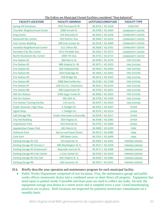| <b>FACILITY LOCATION</b>              | <b>FACILITY ADDRESS</b>             | LATITUDE/LONGITUDE | <b>FACILITY TYPE</b>    |
|---------------------------------------|-------------------------------------|--------------------|-------------------------|
| <b>Spring Hill Cemetery</b>           | 1555 Farnsworth Dr.                 | 38.3514 / -81.6128 | <b>CEMETERY</b>         |
| <b>Chandler Neighborhood Center</b>   | 2000 Arnold Dr.                     | 38.3789 / -81.6464 | <b>COMMUNITY CENTER</b> |
| <b>King Center</b>                    | 314 Donnally St.                    | 38.3563 / -81.6326 | <b>COMMUNITY CENTER</b> |
| <b>Roosevelt Rec Center</b>           | 502 Ruffner Ave.                    | 38.3446 / -81.6216 | <b>COMMUNITY CENTER</b> |
| <b>Civic Center Building</b>          | 200 Civic Center Dr.                | 38.3559 / -81.6400 | <b>COMMUNITY CENTER</b> |
| Vandalia Neighborhood Center          | 611 Clifton Rd.                     | 38.3608 / -81.6701 | <b>COMMUNITY CENTER</b> |
| Kanawha City Rec Center               | 3511 Veneble Ave.                   | 38.3265 / -81.5973 | <b>COMMUNITY CENTER</b> |
| North Charleston Rec Center           | 2009 7th Ave.                       | 38.3735 / -81.6713 | <b>COMMUNITY CENTER</b> |
| Fire Station #1                       | 300 Morris St.                      | 38.3459 / -81.6270 | <b>FIRE STATION</b>     |
| Fire Station #2                       | 808 Virginia St. W,                 | 38.3671 / -81.6523 | <b>FIRE STATION</b>     |
| Fire Station #3                       | 822 Oakwood Rd.                     | 38.3435 / -81.6594 | <b>FIRE STATION</b>     |
| Fire Station #4                       | 1810 Oakridge Dr.                   | 38.3464 / -81.6042 | <b>FIRE STATION</b>     |
| <b>Fire Station #5</b>                | 918 Bridge Rd.                      | 38.3413 / -81.6422 | <b>FIRE STATION</b>     |
| <b>Fire Station #6</b>                | 5008 MacCorkle Ave                  | 38.3190 / -81.5768 | <b>FIRE STATION</b>     |
| Fire Station #7                       | 128 Cora St., Charleston            | 38.3641 / -81.6150 | <b>FIRE STATION</b>     |
| <b>Fire Station #8</b>                | 208 Copenhaver Dr                   | 38.3782 / -81.6631 | <b>FIRE STATION</b>     |
| <b>Old Fire Station</b>               | 2184 Sugar Creek Dr.                | 38.3846 / -81.6563 | <b>FIRE STATION</b>     |
| <b>Old Fire Station</b>               | 506 26th St.                        | 38.3758 / -81.6769 | <b>FIRE STATION</b>     |
| <b>Fire Station Training Facility</b> | 115 Lee St.                         | 38.3597 / -81.6423 | <b>FIRE STATION</b>     |
| <b>Public Grounds / Sign Shop</b>     | 2 Twilight Dr.                      | 38.3591 / -81.6307 | <b>OTHER</b>            |
| <b>Signal Shop</b>                    | 1 Twilight Dr.                      | 38.3576 / -81.6214 | <b>OTHER</b>            |
| <b>Salt Storage Pile</b>              | <b>Under Interstate at Donnally</b> | 38.3559 / -81.6317 | <b>OTHER</b>            |
| <b>City Hall Building</b>             | 503 Virginia St.                    | 38.3508 / -81.6385 | <b>OTHER</b>            |
| <b>Copenhaver Park</b>                | 819 Hannah Dr.                      | 38.3795 / -81.6696 | <b>OTHER</b>            |
| <b>Appalachian Power Park</b>         | 601 Morris St.                      | 38.3489 / -81.6250 | <b>PARK</b>             |
| <b>Oakmont Park</b>                   | <b>Spruce and Hazel Street</b>      | 38.3413 / -81.6480 | <b>PARK</b>             |
| <b>Cato Park</b>                      | 200 Baker Lane,                     | 38.3761 / -81.6409 | <b>PARK</b>             |
| Parking Garage #1 CSC                 | 915 Quarrier St                     | 38.3485 / -81.6342 | <b>PARKING GARAGE</b>   |
| Parking Garage #2 Cinema 7            | 600 Washington St. E,               | 38.3527 / -81.6328 | <b>PARKING GARAGE</b>   |
| Parking Garage #3 Greyhound           | Reynolds and Lee St.                | 38.3571 / -81.6398 | <b>PARKING GARAGE</b>   |
| Parking Garage #4 Civic Center        | 1 Civic Center Dr.                  | 38.3558 / -81.6419 | <b>PARKING GARAGE</b>   |
| Parking Garage #5 City Hall           | 503 Virginia St. E,                 | 38.3504 / -81.6382 | <b>PARKING GARAGE</b>   |
| Parking Garage #6                     | 166 Summers St.                     | 38.3507 / -81.6351 | <b>PARKING GARAGE</b>   |

The Follow are Municipal Owned Facilities considered "Non-Industrial"

20.k. Briefly describe your operation and maintenance program for each municipal facility.

• Public Works Department comprised of two locations. First, the maintenance garage and public works offices stormwater drains into a combined sewer or sheet flows off property. Equipment that need repair is parked inside if possible and drain pans are used to collect any leaks. Second, the equipment storage area drains to a storm sewer and is sampled twice a year. Good housekeeping practices are in place. Both locations are inspected for potential stormwater contaminates on a monthly basis.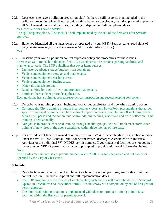20.l. Does each site have a pollution prevention plan? Is there a spill response plan included in the pollution prevention plan? If not, provide a time frame for developing pollution prevention plans at all MS4 owned municipal facilities, including mid-point and full completion dates. Yes, each site does have a SWPPP.

The spill response plan will be included and implemented by the end of the first year after SWMP approval.

- 20.m. Have you identified all the lands owned or operated by your MS4? (Such as parks, road right-ofways, maintenance yards, and water/sewer/stormwater infrastructure.) Yes
- 20.n. Describe your overall pollution control approach policy and procedures for these lands. There is an SOP for each of the identified City owned parks, fire stations, parking facilities, and maintenance yards. The SOP guidelines that cover items such as:
	- Dumpsters/garbage storage/outdoor trash containers.
	- Vehicle and equipment storage, and maintenance.
	- Vehicle and equipment washing areas.
	- Vehicle and equipment fueling areas.
	- Materials and salt storage.
	- Road, parking lot, right-of-way and grounds maintenance.
	- Fertilizer, herbicide & pesticide application.

Each guideline has a training, procedures/practices, inspection and record keeping component.

- 20.o. Describe your training program including your target employees, and how often training occurs.
	- Currently the City's training program incorporates videos and PowerPoint presentations that target specific municipal personnel that have a direct impact on prevent polluted runoff including, street department, parks and recreation, public grounds, engineering, inspectors and trash collection. This training is held annually.
	- Our goal is to provide enhanced training through smaller groups. We will implement stormwater training of new hires in the above categories within three months of hire date.
- 20.p. For any industrial facilities owned or operated by your MS4, list each facilities registration number under the WV NPDES General Permit for Storm Water Discharges Associated with Industrial Activities or the individual WV NPDES permit number. If your industrial facilities are not covered under another NPDES permit, you must will prompted to provide additional information below. None

The Charleston Sanitary Board, permit number, WV0023205 is legally separated and not owned or operated by the City of Charleston.

### **Schedule**

- 20.q. Describe how and when you will implement each component of your program for this minimum control measure. Include mid-point and full implementation dates.
	- The SOP program is in the process of implemented; each facility will have a binder with Standard Operation Procedures and inspections forms. It is underway with completion by end of first year of permit approval.
	- The municipal training program is implemented with plans to introduce training to individual facilities within the first year of permit approval.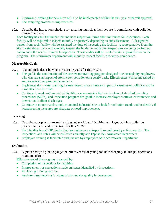- Stormwater training for new hires will also be implemented within the first year of permit approval.
- The sampling protocol is implemented.
- 20.r. Describe the inspection schedule for ensuring municipal facilities are in compliance with pollution prevention plans.

Each facility has an SOP binder that includes inspection forms and timeframes for inspections. Each facility will be required to inspect monthly or quarterly depending on site assessment. A designated person from each facility will be assigned the duty of inspecting the facility. A representative from the stormwater department will annually inspect the binder to verify that inspections are being performed and to audit the results from each inspection. These audits will be used to make improvements on the program. The stormwater department will annually inspect facilities to verify compliance.

### **Measurable Goals**

20.s. List and fully describe your measurable goals for this MCM.

- The goal is the continuation of the stormwater training program designed to educated city employees who can have an impact of stormwater pollution on a yearly basis. Effectiveness will be measured by employee training program attendance.
- Implement stormwater training for new hires that can have an impact of stormwater pollution within 3 months from hire date.
- Continue to work with municipal facilities on an ongoing basis to implement standard operating procedures (SOPs), and inspection program designed to increase employee stormwater awareness and prevention of illicit discharges.
- Continue to monitor and sample municipal industrial site to look for pollution trends and to identify if housekeeping measures are adequate or need improvement.

# **Tracking**

- 20.t. Describe your plan for record keeping and tracking of facilities, employee training, pollution prevention plans, and inspections for this MCM.
	- Each facility has a SOP binder that has maintenance inspections and priority actions on site. The inspections and notes will be collected annually and kept at the Stormwater Department.
	- Employee training is facilitated and tracked by employees of in Stormwater Department.

# **Evaluation**

20.u. Explain how you plan to gauge the effectiveness of your good housekeeping/ municipal operations program efforts?

Effectiveness of the program is gauged by:

- Completion of inspections by facilities.
- Improvements or corrections made on issues identified by inspections.
- Reviewing training records.
- Analyze sampling data for signs of stormwater quality improvement.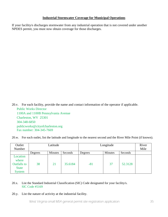### **Industrial Stormwater Coverage for Municipal Operations**

If your facility/s discharges stormwater from any industrial operation that is not covered under another NPDES permit, you must now obtain coverage for those discharges.

20.v. For each facility, provide the name and contact information of the operator if applicable. Public Works Director 1100A and 1100B Pennsylvania Avenue Charleston, WV 25301 304-348-6850 publicworks@cityofcharleston.org Fax number: 304-345-7669

|  | 20.w. For each outlet, list the latitude and longitude to the nearest second and the River Mile Point (if known). |  |  |
|--|-------------------------------------------------------------------------------------------------------------------|--|--|
|  |                                                                                                                   |  |  |
|  |                                                                                                                   |  |  |
|  |                                                                                                                   |  |  |

| Outlet<br>Number                                                  | Latitude |         |         | Longitude |         |         | River<br>Mile |
|-------------------------------------------------------------------|----------|---------|---------|-----------|---------|---------|---------------|
|                                                                   | Degrees  | Minutes | Seconds | Degrees   | Minutes | Seconds |               |
| Location<br>where<br><b>Outfalls</b> to<br><b>State</b><br>System | 38       | 21      | 35.6184 | $-81$     | 37      | 52.3128 |               |

#### 20.x. List the Standard Industrial Classification (SIC) Code designated for your facility/s. SIC Code #5169

20.y. List the nature of activity at the industrial facility.